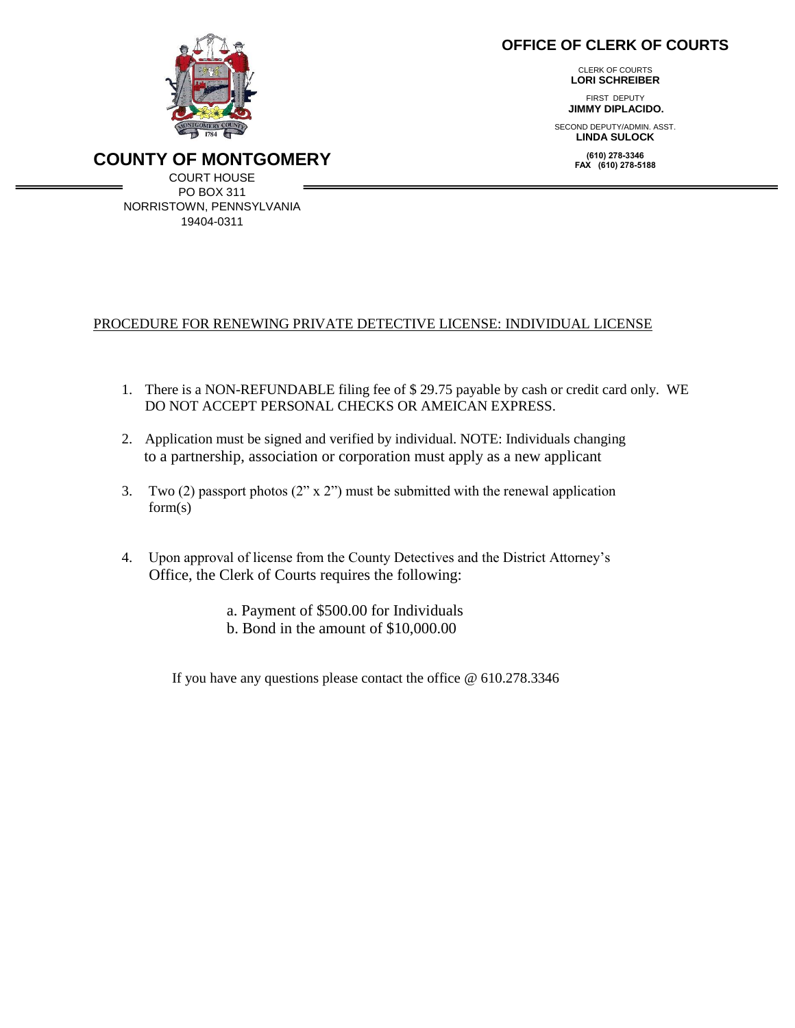## **OFFICE OF CLERK OF COURTS**

 CLERK OF COURTS **LORI SCHREIBER**

FIRST DEPUTY  **JIMMY DIPLACIDO.**

SECOND DEPUTY/ADMIN. ASST. **LINDA SULOCK**

> **(610) 278-3346 FAX (610) 278-5188**



**COUNTY OF MONTGOMERY**

COURT HOUSE PO BOX 311 NORRISTOWN, PENNSYLVANIA 19404-0311

## PROCEDURE FOR RENEWING PRIVATE DETECTIVE LICENSE: INDIVIDUAL LICENSE

- 1. There is a NON-REFUNDABLE filing fee of \$ 29.75 payable by cash or credit card only. WE DO NOT ACCEPT PERSONAL CHECKS OR AMEICAN EXPRESS.
- 2. Application must be signed and verified by individual. NOTE: Individuals changing to a partnership, association or corporation must apply as a new applicant
- 3. Two (2) passport photos (2" x 2") must be submitted with the renewal application form(s)
- 4. Upon approval of license from the County Detectives and the District Attorney's Office, the Clerk of Courts requires the following:
	- a. Payment of \$500.00 for Individuals
	- b. Bond in the amount of \$10,000.00

If you have any questions please contact the office @ 610.278.3346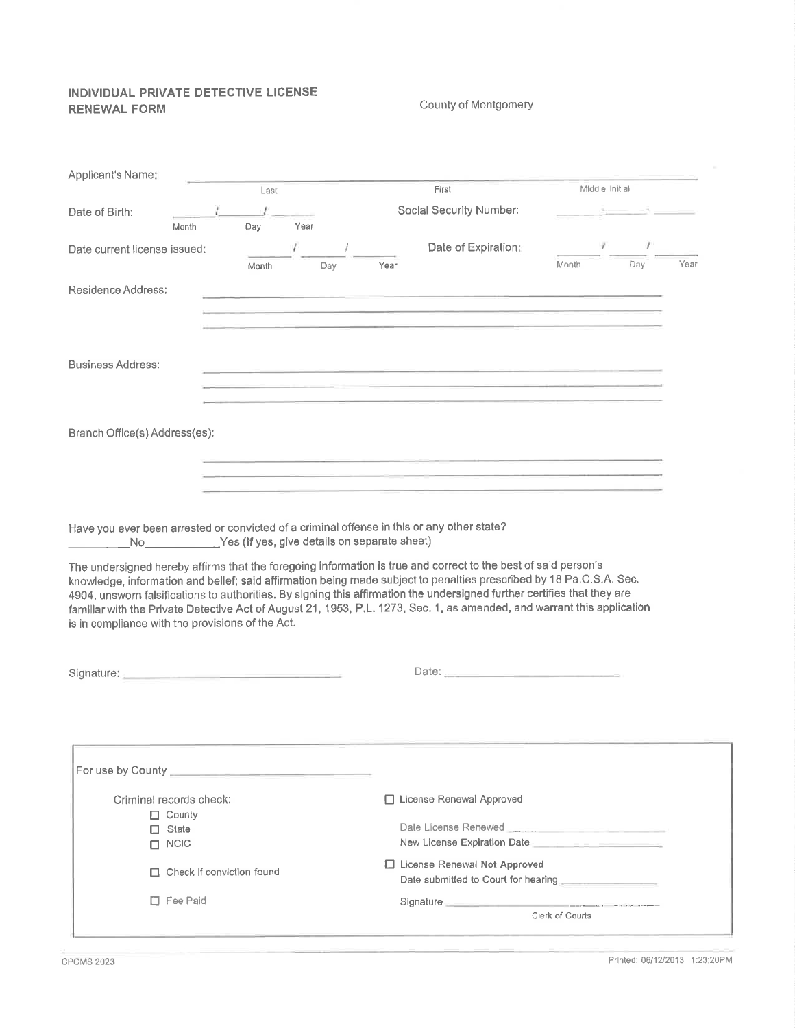### INDIVIDUAL PRIVATE DETECTIVE LICENSE **RENEWAL FORM**

#### County of Montgomery

| Applicant's Name:                                                                                              |                                                 |                                                                                                                                                                                                                                                                                                                                                                                                                                                                                              |                 |      |
|----------------------------------------------------------------------------------------------------------------|-------------------------------------------------|----------------------------------------------------------------------------------------------------------------------------------------------------------------------------------------------------------------------------------------------------------------------------------------------------------------------------------------------------------------------------------------------------------------------------------------------------------------------------------------------|-----------------|------|
|                                                                                                                | Last                                            | First                                                                                                                                                                                                                                                                                                                                                                                                                                                                                        | Middle Initial  |      |
| Date of Birth:                                                                                                 |                                                 | Social Security Number:                                                                                                                                                                                                                                                                                                                                                                                                                                                                      |                 |      |
| Month                                                                                                          | Year<br>Day                                     |                                                                                                                                                                                                                                                                                                                                                                                                                                                                                              |                 |      |
| Date current license issued:                                                                                   |                                                 | Date of Expiration:                                                                                                                                                                                                                                                                                                                                                                                                                                                                          | $\cdot$<br>ł    |      |
|                                                                                                                | Month<br>Day                                    | Year                                                                                                                                                                                                                                                                                                                                                                                                                                                                                         | Day<br>Month    | Year |
|                                                                                                                |                                                 |                                                                                                                                                                                                                                                                                                                                                                                                                                                                                              |                 |      |
| Residence Address:                                                                                             |                                                 |                                                                                                                                                                                                                                                                                                                                                                                                                                                                                              |                 |      |
|                                                                                                                |                                                 |                                                                                                                                                                                                                                                                                                                                                                                                                                                                                              |                 |      |
|                                                                                                                |                                                 |                                                                                                                                                                                                                                                                                                                                                                                                                                                                                              |                 |      |
|                                                                                                                |                                                 |                                                                                                                                                                                                                                                                                                                                                                                                                                                                                              |                 |      |
| Business Address:                                                                                              |                                                 | <u> 1980 - Andrea Andrea Andrea Andrea Andrea Andrea Andrea Andrea Andrea Andrea Andrea Andrea Andrea Andrea Andr</u>                                                                                                                                                                                                                                                                                                                                                                        |                 |      |
|                                                                                                                |                                                 |                                                                                                                                                                                                                                                                                                                                                                                                                                                                                              |                 |      |
|                                                                                                                |                                                 |                                                                                                                                                                                                                                                                                                                                                                                                                                                                                              |                 |      |
|                                                                                                                |                                                 |                                                                                                                                                                                                                                                                                                                                                                                                                                                                                              |                 |      |
| Branch Office(s) Address(es):                                                                                  |                                                 |                                                                                                                                                                                                                                                                                                                                                                                                                                                                                              |                 |      |
|                                                                                                                |                                                 |                                                                                                                                                                                                                                                                                                                                                                                                                                                                                              |                 |      |
|                                                                                                                |                                                 |                                                                                                                                                                                                                                                                                                                                                                                                                                                                                              |                 |      |
|                                                                                                                |                                                 |                                                                                                                                                                                                                                                                                                                                                                                                                                                                                              |                 |      |
|                                                                                                                |                                                 |                                                                                                                                                                                                                                                                                                                                                                                                                                                                                              |                 |      |
|                                                                                                                |                                                 |                                                                                                                                                                                                                                                                                                                                                                                                                                                                                              |                 |      |
|                                                                                                                |                                                 |                                                                                                                                                                                                                                                                                                                                                                                                                                                                                              |                 |      |
|                                                                                                                |                                                 | Have you ever been arrested or convicted of a criminal offense in this or any other state?                                                                                                                                                                                                                                                                                                                                                                                                   |                 |      |
|                                                                                                                | No Yes (If yes, give details on separate sheet) |                                                                                                                                                                                                                                                                                                                                                                                                                                                                                              |                 |      |
| is in compliance with the provisions of the Act.                                                               |                                                 | The undersigned hereby affirms that the foregoing information is true and correct to the best of said person's<br>knowledge, information and belief; said affirmation being made subject to penalties prescribed by 18 Pa.C.S.A. Sec.<br>4904, unsworn falsifications to authorities. By signing this affirmation the undersigned further certifies that they are<br>familiar with the Private Detective Act of August 21, 1953, P.L. 1273, Sec. 1, as amended, and warrant this application |                 |      |
| Signature: No. 1996. The Company of the Company of the Company of the Company of the Company of the Company of |                                                 | Date: 2008 - 2008 - 2008 - 2008 - 2008 - 2008 - 2008 - 2008 - 2008 - 2008 - 2008 - 2008 - 2008 - 2008 - 2008 -                                                                                                                                                                                                                                                                                                                                                                               |                 |      |
|                                                                                                                |                                                 |                                                                                                                                                                                                                                                                                                                                                                                                                                                                                              |                 |      |
| For use by County                                                                                              |                                                 |                                                                                                                                                                                                                                                                                                                                                                                                                                                                                              |                 |      |
|                                                                                                                |                                                 |                                                                                                                                                                                                                                                                                                                                                                                                                                                                                              |                 |      |
| Criminal records check:                                                                                        |                                                 | □ License Renewal Approved                                                                                                                                                                                                                                                                                                                                                                                                                                                                   |                 |      |
| $\Box$ County                                                                                                  |                                                 |                                                                                                                                                                                                                                                                                                                                                                                                                                                                                              |                 |      |
| $\Box$ State                                                                                                   |                                                 | Date License Renewed <b>Contract Contract Contract Contract Contract Contract Contract Contract Contract Contract Contract Contract Contract Contract Contract Contract Contract Contract Contract Contract Contract Contract Co</b>                                                                                                                                                                                                                                                         |                 |      |
| $\Box$ NCIC                                                                                                    |                                                 | New License Expiration Date $\Box$                                                                                                                                                                                                                                                                                                                                                                                                                                                           |                 |      |
| $\Box$ Check if conviction found                                                                               |                                                 | □ License Renewal Not Approved                                                                                                                                                                                                                                                                                                                                                                                                                                                               |                 |      |
|                                                                                                                |                                                 | Date submitted to Court for hearing                                                                                                                                                                                                                                                                                                                                                                                                                                                          |                 |      |
| $\Box$ Fee Paid                                                                                                |                                                 | Signature <b>Signature Signature Signature Signature Signature Signature Signature Signature Signature Signature Signature Signature Signature Signature Signature Signature Signature Signatu</b>                                                                                                                                                                                                                                                                                           | Clerk of Courts |      |